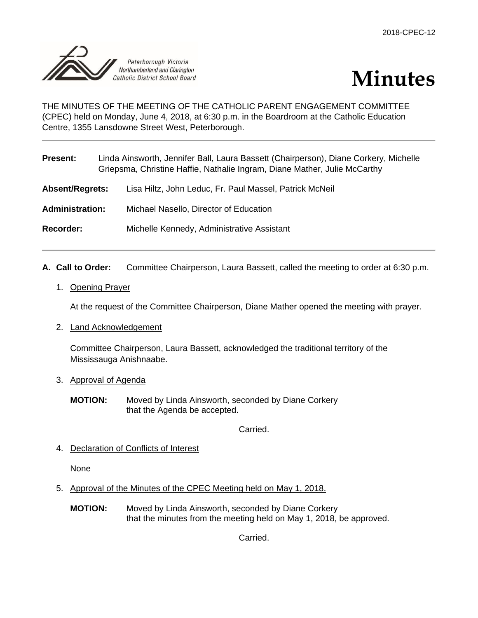



THE MINUTES OF THE MEETING OF THE CATHOLIC PARENT ENGAGEMENT COMMITTEE (CPEC) held on Monday, June 4, 2018, at 6:30 p.m. in the Boardroom at the Catholic Education Centre, 1355 Lansdowne Street West, Peterborough.

| <b>Present:</b>        | Linda Ainsworth, Jennifer Ball, Laura Bassett (Chairperson), Diane Corkery, Michelle<br>Griepsma, Christine Haffie, Nathalie Ingram, Diane Mather, Julie McCarthy |                                                         |
|------------------------|-------------------------------------------------------------------------------------------------------------------------------------------------------------------|---------------------------------------------------------|
| <b>Absent/Regrets:</b> |                                                                                                                                                                   | Lisa Hiltz, John Leduc, Fr. Paul Massel, Patrick McNeil |
| <b>Administration:</b> |                                                                                                                                                                   | Michael Nasello, Director of Education                  |
| Recorder:              |                                                                                                                                                                   | Michelle Kennedy, Administrative Assistant              |
|                        |                                                                                                                                                                   |                                                         |

- **A. Call to Order:** Committee Chairperson, Laura Bassett, called the meeting to order at 6:30 p.m.
	- 1. Opening Prayer

At the request of the Committee Chairperson, Diane Mather opened the meeting with prayer.

2. Land Acknowledgement

Committee Chairperson, Laura Bassett, acknowledged the traditional territory of the Mississauga Anishnaabe.

- 3. Approval of Agenda
	- **MOTION:** Moved by Linda Ainsworth, seconded by Diane Corkery that the Agenda be accepted.

Carried.

4. Declaration of Conflicts of Interest

None

- 5. Approval of the Minutes of the CPEC Meeting held on May 1, 2018.
	- **MOTION:** Moved by Linda Ainsworth, seconded by Diane Corkery that the minutes from the meeting held on May 1, 2018, be approved.

Carried.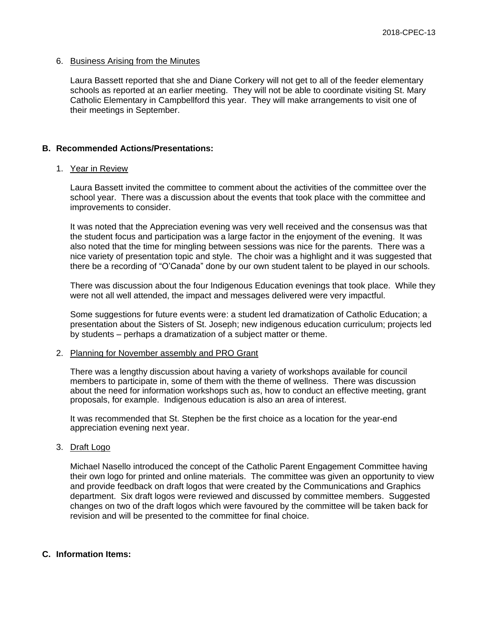# 6. Business Arising from the Minutes

Laura Bassett reported that she and Diane Corkery will not get to all of the feeder elementary schools as reported at an earlier meeting. They will not be able to coordinate visiting St. Mary Catholic Elementary in Campbellford this year. They will make arrangements to visit one of their meetings in September.

# **B. Recommended Actions/Presentations:**

# 1. Year in Review

Laura Bassett invited the committee to comment about the activities of the committee over the school year. There was a discussion about the events that took place with the committee and improvements to consider.

It was noted that the Appreciation evening was very well received and the consensus was that the student focus and participation was a large factor in the enjoyment of the evening. It was also noted that the time for mingling between sessions was nice for the parents. There was a nice variety of presentation topic and style. The choir was a highlight and it was suggested that there be a recording of "O'Canada" done by our own student talent to be played in our schools.

There was discussion about the four Indigenous Education evenings that took place. While they were not all well attended, the impact and messages delivered were very impactful.

Some suggestions for future events were: a student led dramatization of Catholic Education; a presentation about the Sisters of St. Joseph; new indigenous education curriculum; projects led by students – perhaps a dramatization of a subject matter or theme.

#### 2. Planning for November assembly and PRO Grant

There was a lengthy discussion about having a variety of workshops available for council members to participate in, some of them with the theme of wellness. There was discussion about the need for information workshops such as, how to conduct an effective meeting, grant proposals, for example. Indigenous education is also an area of interest.

It was recommended that St. Stephen be the first choice as a location for the year-end appreciation evening next year.

# 3. Draft Logo

Michael Nasello introduced the concept of the Catholic Parent Engagement Committee having their own logo for printed and online materials. The committee was given an opportunity to view and provide feedback on draft logos that were created by the Communications and Graphics department. Six draft logos were reviewed and discussed by committee members. Suggested changes on two of the draft logos which were favoured by the committee will be taken back for revision and will be presented to the committee for final choice.

# **C. Information Items:**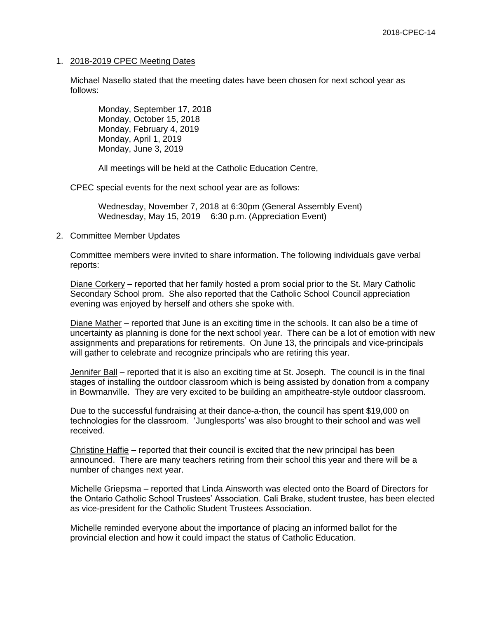# 1. 2018-2019 CPEC Meeting Dates

Michael Nasello stated that the meeting dates have been chosen for next school year as follows:

Monday, September 17, 2018 Monday, October 15, 2018 Monday, February 4, 2019 Monday, April 1, 2019 Monday, June 3, 2019

All meetings will be held at the Catholic Education Centre,

CPEC special events for the next school year are as follows:

Wednesday, November 7, 2018 at 6:30pm (General Assembly Event) Wednesday, May 15, 2019 6:30 p.m. (Appreciation Event)

# 2. Committee Member Updates

Committee members were invited to share information. The following individuals gave verbal reports:

Diane Corkery – reported that her family hosted a prom social prior to the St. Mary Catholic Secondary School prom. She also reported that the Catholic School Council appreciation evening was enjoyed by herself and others she spoke with.

Diane Mather – reported that June is an exciting time in the schools. It can also be a time of uncertainty as planning is done for the next school year. There can be a lot of emotion with new assignments and preparations for retirements. On June 13, the principals and vice-principals will gather to celebrate and recognize principals who are retiring this year.

Jennifer Ball – reported that it is also an exciting time at St. Joseph. The council is in the final stages of installing the outdoor classroom which is being assisted by donation from a company in Bowmanville. They are very excited to be building an ampitheatre-style outdoor classroom.

Due to the successful fundraising at their dance-a-thon, the council has spent \$19,000 on technologies for the classroom. 'Junglesports' was also brought to their school and was well received.

Christine Haffie – reported that their council is excited that the new principal has been announced. There are many teachers retiring from their school this year and there will be a number of changes next year.

Michelle Griepsma – reported that Linda Ainsworth was elected onto the Board of Directors for the Ontario Catholic School Trustees' Association. Cali Brake, student trustee, has been elected as vice-president for the Catholic Student Trustees Association.

Michelle reminded everyone about the importance of placing an informed ballot for the provincial election and how it could impact the status of Catholic Education.